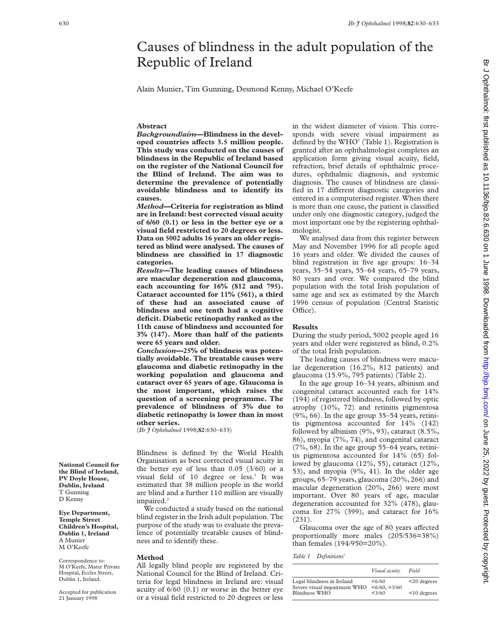# Causes of blindness in the adult population of the Republic of Ireland

Alain Munier, Tim Gunning, Desmond Kenny, Michael O'Keefe

### **Abstract**

*Background/aim***—Blindness in the devel**oped countries affects 3.5 million people. **This study was conducted on the causes of blindness in the Republic of Ireland based on the register of the National Council for the Blind of Ireland. The aim was to determine the prevalence of potentially avoidable blindness and to identify its causes.**

*Method***—Criteria for registration as blind are in Ireland: best corrected visual acuity of 6/60 (0.1) or less in the better eye or a visual field restricted to 20 degrees or less. Data on 5002 adults 16 years an older registered as blind were analysed. The causes of blindness are classified in 17 diagnostic categories.**

*Results—***The leading causes of blindness are macular degeneration and glaucoma, each accounting for 16% (812 and 795). Cataract accounted for 11% (561), a third of these had an associated cause of blindness and one tenth had a cognitive deficit. Diabetic retinopathy ranked as the 11th cause of blindness and accounted for 3% (147). More than half of the patients were 65 years and older.**

*Conclusion***—25% of blindness was potentially avoidable. The treatable causes were glaucoma and diabetic retinopathy in the working population and glaucoma and cataract over 65 years of age. Glaucoma is the most important, which raises the question of a screening programme. The prevalence of blindness of 3% due to diabetic retinopathy is lower than in most other series.**

(*Br J Ophthalmol* 1998;**82**:630–633)

Blindness is defined by the World Health Organisation as best corrected visual acuity in the better eye of less than 0.05 (3/60) or a visual field of 10 degree or less.<sup>1</sup> It was estimated that 38 million people in the world are blind and a further 110 million are visually impaired.<sup>2</sup>

We conducted a study based on the national blind register in the Irish adult population. The purpose of the study was to evaluate the prevalence of potentially treatable causes of blindness and to identify these.

#### **Method**

All legally blind people are registered by the National Council for the Blind of Ireland. Criteria for legal blindness in Ireland are: visual acuity of 6/60 (0.1) or worse in the better eye or a visual field restricted to 20 degrees or less

in the widest diameter of vision. This corresponds with severe visual impairment as defined by the WHO<sup>1</sup> (Table 1). Registration is granted after an ophthalmologist completes an application form giving visual acuity, field, refraction, brief details of ophthalmic procedures, ophthalmic diagnosis, and systemic diagnosis. The causes of blindness are classified in 17 different diagnostic categories and entered in a computerised register. When there is more than one cause, the patient is classified under only one diagnostic category, judged the most important one by the registering ophthalmologist.

We analysed data from this register between May and November 1996 for all people aged 16 years and older. We divided the causes of blind registration in five age groups: 16–34 years, 35–54 years, 55–64 years, 65–79 years, 80 years and over. We compared the blind population with the total Irish population of same age and sex as estimated by the March 1996 census of population (Central Statistic Office).

#### **Results**

During the study period, 5002 people aged 16 years and older were registered as blind, 0.2% of the total Irish population.

The leading causes of blindness were macular degeneration (16.2%, 812 patients) and glaucoma (15.9%, 795 patients) (Table 2).

In the age group 16–34 years, albinism and congenital cataract accounted each for 14% (194) of registered blindness, followed by optic atrophy (10%, 72) and retinitis pigmentosa  $(9\%, 66)$ . In the age group 35–54 years, retinitis pigmentosa accounted for 14% (142) followed by albinism  $(9\%, 93)$ , cataract  $(8.5\%,$ 86), myopia (7%, 74), and congenital cataract (7%, 68). In the age group 55–64 years, retinitis pigmentosa accounted for 14% (65) followed by glaucoma (12%, 55), cataract (12%, 53), and myopia (9%, 41). In the older age groups, 65–79 years, glaucoma (20%, 266) and macular degeneration (20%, 266) were most important. Over 80 years of age, macular degeneration accounted for 32% (478), glaucoma for 27% (399), and cataract for 16% (231).

Glaucoma over the age of 80 years affected proportionally more males (205/536=38%) than females (194/950=20%).

Table 1 Definitions<sup>1</sup>

|                                                            | Visual acuity         | Field          |
|------------------------------------------------------------|-----------------------|----------------|
| Legal blindness in Ireland<br>Severe visual impairment WHO | 56/60<br><6/60, >3/60 | $<$ 20 degrees |
| Blindness WHO                                              | < 3/60                | $10$ degrees   |

**National Council for the Blind of Ireland, PV Doyle House, Dublin, Ireland** T Gunning D Kenny

**Eye Department, Temple Street Children's Hospital, Dublin 1, Ireland** A Munier M O'Keefe

Correspondence to: M O'Keefe, Mater Private Hospital, Eccles Street, Dublin 1, Ireland.

Accepted for publication 21 January 1998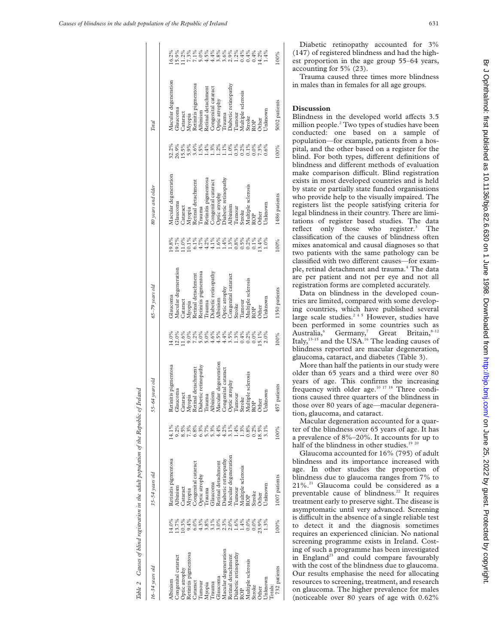Table 2 Causes of blind registration in the adult population of the Republic of Ireland

Table 2 Causes of blind registration in the adult population of the Republic of Ireland

| $16 - 34$ vears old          |                                                                | $35 - 54$ years old                                                                                                                    |                                                             | 55-64 years old |                                                             | $65 - 79$ years old                                                               |                                                                                                       | 80 years and older                                                                                                                                                                                                                                                                                                                                                                                                                                                                                                                                                              |                                 | Total                                                                                                                                                                                                                                                                                                                                                |      |
|------------------------------|----------------------------------------------------------------|----------------------------------------------------------------------------------------------------------------------------------------|-------------------------------------------------------------|-----------------|-------------------------------------------------------------|-----------------------------------------------------------------------------------|-------------------------------------------------------------------------------------------------------|---------------------------------------------------------------------------------------------------------------------------------------------------------------------------------------------------------------------------------------------------------------------------------------------------------------------------------------------------------------------------------------------------------------------------------------------------------------------------------------------------------------------------------------------------------------------------------|---------------------------------|------------------------------------------------------------------------------------------------------------------------------------------------------------------------------------------------------------------------------------------------------------------------------------------------------------------------------------------------------|------|
|                              |                                                                |                                                                                                                                        |                                                             |                 |                                                             |                                                                                   |                                                                                                       | Macular degeneration                                                                                                                                                                                                                                                                                                                                                                                                                                                                                                                                                            |                                 |                                                                                                                                                                                                                                                                                                                                                      |      |
| lbinism                      |                                                                |                                                                                                                                        |                                                             |                 |                                                             |                                                                                   |                                                                                                       |                                                                                                                                                                                                                                                                                                                                                                                                                                                                                                                                                                                 |                                 | Macular degeneration                                                                                                                                                                                                                                                                                                                                 |      |
| ongenital cataract           |                                                                |                                                                                                                                        |                                                             |                 |                                                             | Glaucoma<br>Macular degeneration                                                  |                                                                                                       | <b>Glaucoma</b>                                                                                                                                                                                                                                                                                                                                                                                                                                                                                                                                                                 |                                 | Glaucoma                                                                                                                                                                                                                                                                                                                                             |      |
| ptic atrophy                 |                                                                |                                                                                                                                        |                                                             |                 |                                                             |                                                                                   |                                                                                                       |                                                                                                                                                                                                                                                                                                                                                                                                                                                                                                                                                                                 |                                 |                                                                                                                                                                                                                                                                                                                                                      |      |
| etinitis pigmentosa          |                                                                | Retiniis pigmentosa<br>Albinism<br>Albinism<br>Myopia<br>Congenital cataract<br>Optic areophy<br>Optic areophy<br>Glaucona<br>Glaucona | はの87005445110082%ののことは、それは100000000000000000000000000000000 |                 | ハンジッシッシッシッシッシッシッシ<br>ここここここことはこうにいいこと。<br>ミンシッシッシッシッシッシッシッシ | Cataract<br>Myopia<br>Retinal detachment<br>Retinitis pigmentosa<br>Trauma        | 8.8.8.8.8.8.8.8.8.8.8.8.8.8.8.8<br>8.5.0.11.5.4.4.4.7.8.8.6.4.10.0<br>9.0.11.0.4.4.4.11.10.0.0.0.0.11 | $\begin{tabular}{l} \textbf{C} an action \\ \textbf{A} for a data \\ \textbf{A} for a data \\ \textbf{B} for an action \\ \textbf{B} for an action \\ \textbf{C} for an top by \\ \textbf{D} for an top by \\ \textbf{D} for a top by \\ \textbf{D} for a top by \\ \textbf{D} for a top by \\ \textbf{D} for a top of the graph \\ \textbf{A} for a data \\ \textbf{A} for a data \\ \textbf{A} for a data \\ \textbf{A} for a data \\ \textbf{A} for a data \\ \textbf{A} for a data \\ \textbf{A} for a data \\ \textbf{A} for a data \\ \textbf{A} for a data \\ \textbf{A$ | 8888888<br>2005 1006<br>8810707 |                                                                                                                                                                                                                                                                                                                                                      |      |
| Cataract                     |                                                                |                                                                                                                                        |                                                             |                 |                                                             |                                                                                   |                                                                                                       |                                                                                                                                                                                                                                                                                                                                                                                                                                                                                                                                                                                 |                                 |                                                                                                                                                                                                                                                                                                                                                      |      |
| Tumour<br>Myopia             |                                                                |                                                                                                                                        |                                                             |                 |                                                             |                                                                                   |                                                                                                       |                                                                                                                                                                                                                                                                                                                                                                                                                                                                                                                                                                                 |                                 |                                                                                                                                                                                                                                                                                                                                                      |      |
|                              |                                                                |                                                                                                                                        |                                                             |                 |                                                             |                                                                                   |                                                                                                       |                                                                                                                                                                                                                                                                                                                                                                                                                                                                                                                                                                                 | 1.4%                            |                                                                                                                                                                                                                                                                                                                                                      |      |
| Trauma                       |                                                                |                                                                                                                                        |                                                             |                 |                                                             | Diabetic retinopathy<br>Albinism                                                  |                                                                                                       |                                                                                                                                                                                                                                                                                                                                                                                                                                                                                                                                                                                 |                                 |                                                                                                                                                                                                                                                                                                                                                      |      |
| laucoma                      |                                                                |                                                                                                                                        |                                                             |                 |                                                             |                                                                                   |                                                                                                       |                                                                                                                                                                                                                                                                                                                                                                                                                                                                                                                                                                                 |                                 |                                                                                                                                                                                                                                                                                                                                                      |      |
| Aacular degeneration         |                                                                | Jiabetic retinopathy                                                                                                                   |                                                             |                 |                                                             |                                                                                   |                                                                                                       |                                                                                                                                                                                                                                                                                                                                                                                                                                                                                                                                                                                 | 2<br>22<br>222                  |                                                                                                                                                                                                                                                                                                                                                      |      |
| etinal detachment            |                                                                |                                                                                                                                        |                                                             |                 |                                                             |                                                                                   |                                                                                                       |                                                                                                                                                                                                                                                                                                                                                                                                                                                                                                                                                                                 |                                 |                                                                                                                                                                                                                                                                                                                                                      |      |
| viabetic retinopathy         |                                                                |                                                                                                                                        |                                                             |                 |                                                             |                                                                                   |                                                                                                       |                                                                                                                                                                                                                                                                                                                                                                                                                                                                                                                                                                                 |                                 |                                                                                                                                                                                                                                                                                                                                                      |      |
|                              |                                                                |                                                                                                                                        |                                                             |                 |                                                             |                                                                                   |                                                                                                       |                                                                                                                                                                                                                                                                                                                                                                                                                                                                                                                                                                                 |                                 |                                                                                                                                                                                                                                                                                                                                                      |      |
|                              |                                                                |                                                                                                                                        |                                                             |                 |                                                             | Optic atrophy<br>Congenital cataract<br>Stroke<br>Tunting sclerosis<br>ROP<br>ROP |                                                                                                       |                                                                                                                                                                                                                                                                                                                                                                                                                                                                                                                                                                                 |                                 |                                                                                                                                                                                                                                                                                                                                                      |      |
| Multiple sclerosis<br>Stroke |                                                                |                                                                                                                                        |                                                             |                 |                                                             |                                                                                   |                                                                                                       |                                                                                                                                                                                                                                                                                                                                                                                                                                                                                                                                                                                 |                                 |                                                                                                                                                                                                                                                                                                                                                      |      |
| ther                         |                                                                |                                                                                                                                        |                                                             |                 |                                                             |                                                                                   |                                                                                                       |                                                                                                                                                                                                                                                                                                                                                                                                                                                                                                                                                                                 |                                 |                                                                                                                                                                                                                                                                                                                                                      |      |
| Jnknown                      | かいかいかいかいかいかいかいかいかいかいのかい こうせいこう こうしょうじょう こうしょう こうしょう こうしょう こうこう | Macular degeneration<br>Tumour<br>Multiple sclerosis<br>ROP<br>ROP<br>Other<br>Other                                                   |                                                             |                 |                                                             | Jnknown                                                                           |                                                                                                       | Jnknown                                                                                                                                                                                                                                                                                                                                                                                                                                                                                                                                                                         |                                 | $\begin{tabular}{l} Caaract \\ Avypiis~pigmentosA bhiniAlbinism \\ Aethani & detachment \\ Roetinal detachment \\ Coogernial canaret \\ Ongiential can act \\ Toiaetic retinopathy \\ Thiaetic retinopathy \\ Multiples, decsbrio & & & & \\ Xultiptes, decsbrio & & & \\ Xultiptes, decsbrio & & & \\ Xoltzop & & & \\ XOrb & & & \\ \end{tabular}$ |      |
| otals:                       |                                                                |                                                                                                                                        |                                                             |                 |                                                             |                                                                                   |                                                                                                       |                                                                                                                                                                                                                                                                                                                                                                                                                                                                                                                                                                                 |                                 |                                                                                                                                                                                                                                                                                                                                                      |      |
| 732 patients                 | 100%                                                           | 1007 patients                                                                                                                          | 00%                                                         | patients<br>457 | 100%                                                        | 1350 patients                                                                     | 100%                                                                                                  | 1486 patients                                                                                                                                                                                                                                                                                                                                                                                                                                                                                                                                                                   | 100%                            | 5002 patients                                                                                                                                                                                                                                                                                                                                        | 100% |
|                              |                                                                |                                                                                                                                        |                                                             |                 |                                                             |                                                                                   |                                                                                                       |                                                                                                                                                                                                                                                                                                                                                                                                                                                                                                                                                                                 |                                 |                                                                                                                                                                                                                                                                                                                                                      |      |

Diabetic retinopathy accounted for 3% (147) of registered blindness and had the highest proportion in the age group 55–64 years, accounting for 5% (23).

Trauma caused three times more blindness in males than in females for all age groups.

## **Discussion**

Blindness in the developed world affects 3.5 million people.<sup>2</sup> Two types of studies have been conducted: one based on a sample of population—for example, patients from a hospital, and the other based on a register for the blind. For both types, different definitions of blindness and different methods of evaluation make comparison difficult. Blind registration exists in most developed countries and is held by state or partially state funded organisations who provide help to the visually impaired. The registers list the people satisfying criteria for legal blindness in their country. There are limitations of register based studies. The data reflect only those who register.<sup>3</sup> The classification of the causes of blindness often mixes anatomical and causal diagnoses so that two patients with the same pathology can be classified with two different causes—for example, retinal detachment and trauma.<sup>4</sup> The data are per patient and not per eye and not all registration forms are completed accurately.

Data on blindness in the developed countries are limited, compared with some developing countries, which have published several large scale studies.<sup>245</sup> However, studies have been performed in some countries such as Australia, Germany,<sup>7</sup> Great Britain,  $8-12$ Italy, $13-15$  and the USA.<sup>16</sup> The leading causes of blindness reported are macular degeneration, glaucoma, cataract, and diabetes (Table 3).

More than half the patients in our study were older than 65 years and a third were over 80 years of age. This confirms the increasing frequency with older age.10 17 18 Three conditions caused three quarters of the blindness in those over 80 years of age—macular degeneration, glaucoma, and cataract.

Macular degeneration accounted for a quarter of the blindness over 65 years of age. It has a prevalence of 8%–20%. It accounts for up to half of the blindness in other studies.<sup>19 20</sup>

Glaucoma accounted for 16% (795) of adult blindness and its importance increased with age. In other studies the proportion of blindness due to glaucoma ranges from 7% to 21%.21 Glaucoma could be considered as a preventable cause of blindness.<sup>22</sup> It requires treatment early to preserve sight. The disease is asymptomatic until very advanced. Screening is difficult in the absence of a single reliable test to detect it and the diagnosis sometimes requires an experienced clinician. No national screening programme exists in Ireland. Costing of such a programme has been investigated in England<sup>23</sup> and could compare favourably with the cost of the blindness due to glaucoma. Our results emphasise the need for allocating resources to screening, treatment, and research on glaucoma. The higher prevalence for males (noticeable over 80 years of age with 0.62%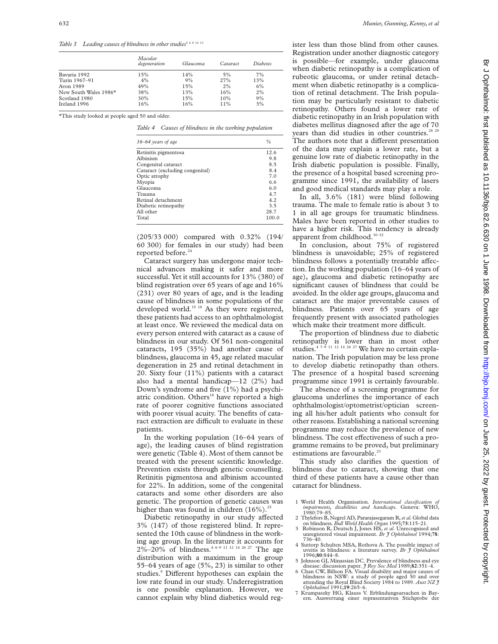Table 3 Leading causes of blindness in other studies<sup>5 6 8 10 13</sup>

|                       | Macular<br>degeneration | Glaucoma | <i>Cataract</i> | Diabetes |
|-----------------------|-------------------------|----------|-----------------|----------|
| Bavaria 1992          | 15%                     | 14%      | 5%              | 7%       |
| Turin 1967-91         | 4%                      | 9%       | 27%             | 13%      |
| Avon 1989             | 49%                     | 15%      | 2%              | 6%       |
| New South Wales 1986* | 38%                     | 13%      | 16%             | 2%       |
| Scotland 1980         | 30%                     | 15%      | 10%             | 9%       |
| Ireland 1996          | 16%                     | 16%      | 11%             | 3%       |

\*This study looked at people aged 50 and older.

*Table 4 Causes of blindness in the working population*

| $16-64$ years of age            | $\frac{0}{0}$ |
|---------------------------------|---------------|
| Retinitis pigmentosa            | 12.6          |
| Albinism                        | 9.8           |
| Congenital cataract             | 85            |
| Cataract (excluding congenital) | 8.4           |
| Optic atrophy                   | 70            |
| Myopia                          | 6.6           |
| Glaucoma                        | 60            |
| Trauma                          | 47            |
| Retinal detachment              | 42            |
| Diabetic retinopathy            | 35            |
| All other                       | 28.7          |
| Total                           | 100.0         |

(205/33 000) compared with 0.32% (194/ 60 300) for females in our study) had been reported before.<sup>24</sup>

Cataract surgery has undergone major technical advances making it safer and more successful. Yet it still accounts for 13% (380) of blind registration over 65 years of age and 16% (231) over 80 years of age, and is the leading cause of blindness in some populations of the developed world.<sup>15 18</sup> As they were registered, these patients had access to an ophthalmologist at least once. We reviewed the medical data on every person entered with cataract as a cause of blindness in our study. Of 561 non-congenital cataracts, 195 (35%) had another cause of blindness, glaucoma in 45, age related macular degeneration in 25 and retinal detachment in 20. Sixty four (11%) patients with a cataract also had a mental handicap—12 (2%) had Down's syndrome and five (1%) had a psychiatric condition. Others<sup>18</sup> have reported a high rate of poorer cognitive functions associated with poorer visual acuity. The benefits of cataract extraction are difficult to evaluate in these patients.

In the working population (16–64 years of age), the leading causes of blind registration were genetic (Table 4). Most of them cannot be treated with the present scientific knowledge. Prevention exists through genetic counselling. Retinitis pigmentosa and albinism accounted for 22%. In addition, some of the congenital cataracts and some other disorders are also genetic. The proportion of genetic causes was higher than was found in children  $(16\%)$ .<sup>25</sup>

Diabetic retinopathy in our study affected 3% (147) of those registered blind. It represented the 10th cause of blindness in the working age group. In the literature it accounts for  $2\% - 20\%$  of blindness.<sup>4 6–9 11 12 14 26 27</sup> The age distribution with a maximum in the group 55–64 years of age (5%, 23) is similar to other studies.<sup>9</sup> Different hypotheses can explain the low rate found in our study. Underregistration is one possible explanation. However, we cannot explain why blind diabetics would register less than those blind from other causes. Registration under another diagnostic category is possible—for example, under glaucoma when diabetic retinopathy is a complication of rubeotic glaucoma, or under retinal detachment when diabetic retinopathy is a complication of retinal detachment. The Irish population may be particularly resistant to diabetic retinopathy. Others found a lower rate of diabetic retinopathy in an Irish population with diabetes mellitus diagnosed after the age of 70 years than did studies in other countries.<sup>28 29</sup> The authors note that a different presentation of the data may explain a lower rate, but a genuine low rate of diabetic retinopathy in the Irish diabetic population is possible. Finally, the presence of a hospital based screening programme since 1991, the availability of lasers and good medical standards may play a role.

In all, 3.6% (181) were blind following trauma. The male to female ratio is about 3 to 1 in all age groups for traumatic blindness. Males have been reported in other studies to have a higher risk. This tendency is already apparent from childhood.<sup>30-32</sup>

In conclusion, about 75% of registered blindness is unavoidable; 25% of registered blindness follows a potentially treatable affection. In the working population (16–64 years of age), glaucoma and diabetic retinopathy are significant causes of blindness that could be avoided. In the older age groups, glaucoma and cataract are the major preventable causes of blindness. Patients over 65 years of age frequently present with associated pathologies which make their treatment more difficult.

The proportion of blindness due to diabetic retinopathy is lower than in most other studies.<sup>47-9 11 12 14 26 27</sup> We have no certain explanation. The Irish population may be less prone to develop diabetic retinopathy than others. The presence of a hospital based screening programme since 1991 is certainly favourable.

The absence of a screening programme for glaucoma underlines the importance of each ophthalmologist/optometrist/optician screening all his/her adult patients who consult for other reasons. Establishing a national screening programme may reduce the prevalence of new blindness. The cost effectiveness of such a programme remains to be proved, but preliminary estimations are favourable.<sup>23</sup>

This study also clarifies the question of blindness due to cataract, showing that one third of these patients have a cause other than cataract for blindness.

- 1 World Health Organisation. *International classification impairments, disabilities and handicaps*. Geneva: WHO, 1980:79–85.
- 2 Thylefors B, Negrel AD, Pararajasegaram R,*et al*. Global data on blindness*. Bull World Health Organ* 1995;**73**:115–21.
- 3 Robinson R, Deutsch J, Jones HS, *et al*. Unrecognised and unregistered visual impairment. *Br J Ophthalmol* 1994;**78**:
- 736–40. 4 Suttorp Schulten MSA, Rothova A. The possible impact of uveitis in blindness: a literature survey. *Br J Ophthalmol*
- 5 Johnson GJ, Minassian DC. Prevalence of blindness and eye
- disease: discussion paper. *J Roy Soc Med* 1989;**82**:351–4. 6 Chan CW, Billson FA. Visual disability and major causes of blindness in NSW: a study of people aged 50 and over attending the Royal Blind Society 1984 to 1989. *Aust NZ J Ophthalmol* 1991;**19**:265–6. 7 Krumpaszky HG, Klauss V. Erblindungsursachen in Bay-
- ern. Auswertung einer reprasentativen Stichprobe der